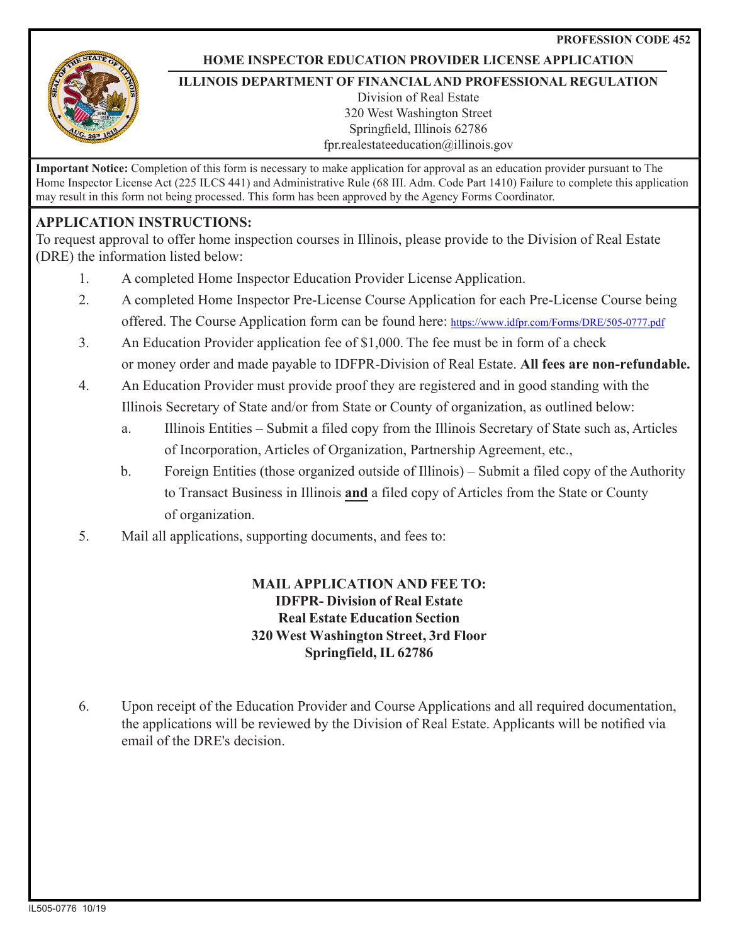**PROFESSION CODE 452**



#### **HOME INSPECTOR EDUCATION PROVIDER LICENSE APPLICATION**

#### **ILLINOIS DEPARTMENT OF FINANCIAL AND PROFESSIONAL REGULATION**

Division of Real Estate 320 West Washington Street Springfield, Illinois 62786 fpr.realestateeducation@illinois.gov

**Important Notice:** Completion of this form is necessary to make application for approval as an education provider pursuant to The Home Inspector License Act (225 ILCS 441) and Administrative Rule (68 III. Adm. Code Part 1410) Failure to complete this application may result in this form not being processed. This form has been approved by the Agency Forms Coordinator.

### **APPLICATION INSTRUCTIONS:**

To request approval to offer home inspection courses in Illinois, please provide to the Division of Real Estate (DRE) the information listed below:

- 1. A completed Home Inspector Education Provider License Application.
- 2. A completed Home Inspector Pre-License Course Application for each Pre-License Course being offered. The Course Application form can be found here: <https://www.idfpr.com/Forms/DRE/505-0777.pdf>
- 3. An Education Provider application fee of \$1,000. The fee must be in form of a check or money order and made payable to IDFPR-Division of Real Estate. **All fees are non-refundable.**
- 4. An Education Provider must provide proof they are registered and in good standing with the Illinois Secretary of State and/or from State or County of organization, as outlined below:
	- a. Illinois Entities Submit a filed copy from the Illinois Secretary of State such as, Articles of Incorporation, Articles of Organization, Partnership Agreement, etc.,
	- b. Foreign Entities (those organized outside of Illinois) Submit a filed copy of the Authority to Transact Business in Illinois **and** a filed copy of Articles from the State or County of organization.
- 5. Mail all applications, supporting documents, and fees to:

### **MAIL APPLICATION AND FEE TO: IDFPR- Division of Real Estate Real Estate Education Section 320 West Washington Street, 3rd Floor Springfield, IL 62786**

6. Upon receipt of the Education Provider and Course Applications and all required documentation, the applications will be reviewed by the Division of Real Estate. Applicants will be notified via email of the DRE's decision.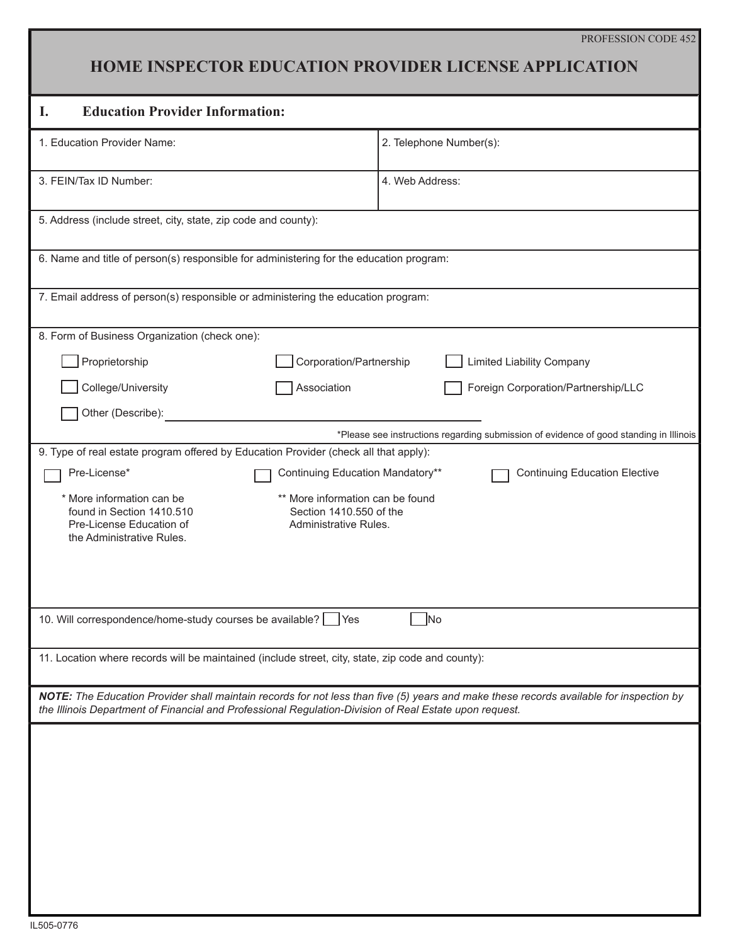### **HOME INSPECTOR EDUCATION PROVIDER LICENSE APPLICATION**

# **I. Education Provider Information:**

| <b>Education Provider Information:</b><br>ı.                                                                                                                                                                                                      |                                      |
|---------------------------------------------------------------------------------------------------------------------------------------------------------------------------------------------------------------------------------------------------|--------------------------------------|
| 1. Education Provider Name:                                                                                                                                                                                                                       | 2. Telephone Number(s):              |
| 3. FEIN/Tax ID Number:                                                                                                                                                                                                                            | 4. Web Address:                      |
| 5. Address (include street, city, state, zip code and county):                                                                                                                                                                                    |                                      |
| 6. Name and title of person(s) responsible for administering for the education program:                                                                                                                                                           |                                      |
| 7. Email address of person(s) responsible or administering the education program:                                                                                                                                                                 |                                      |
| 8. Form of Business Organization (check one):                                                                                                                                                                                                     |                                      |
| Proprietorship<br>Corporation/Partnership                                                                                                                                                                                                         | <b>Limited Liability Company</b>     |
| College/University<br>Association                                                                                                                                                                                                                 | Foreign Corporation/Partnership/LLC  |
| Other (Describe):                                                                                                                                                                                                                                 |                                      |
| *Please see instructions regarding submission of evidence of good standing in Illinois                                                                                                                                                            |                                      |
| 9. Type of real estate program offered by Education Provider (check all that apply):                                                                                                                                                              |                                      |
| Continuing Education Mandatory**<br>Pre-License*                                                                                                                                                                                                  | <b>Continuing Education Elective</b> |
| ** More information can be found<br>* More information can be<br>found in Section 1410.510<br>Section 1410.550 of the<br>Pre-License Education of<br>Administrative Rules.<br>the Administrative Rules.                                           |                                      |
| 10. Will correspondence/home-study courses be available? Yes<br>N <sub>o</sub>                                                                                                                                                                    |                                      |
| 11. Location where records will be maintained (include street, city, state, zip code and county):                                                                                                                                                 |                                      |
| NOTE: The Education Provider shall maintain records for not less than five (5) years and make these records available for inspection by<br>the Illinois Department of Financial and Professional Regulation-Division of Real Estate upon request. |                                      |
|                                                                                                                                                                                                                                                   |                                      |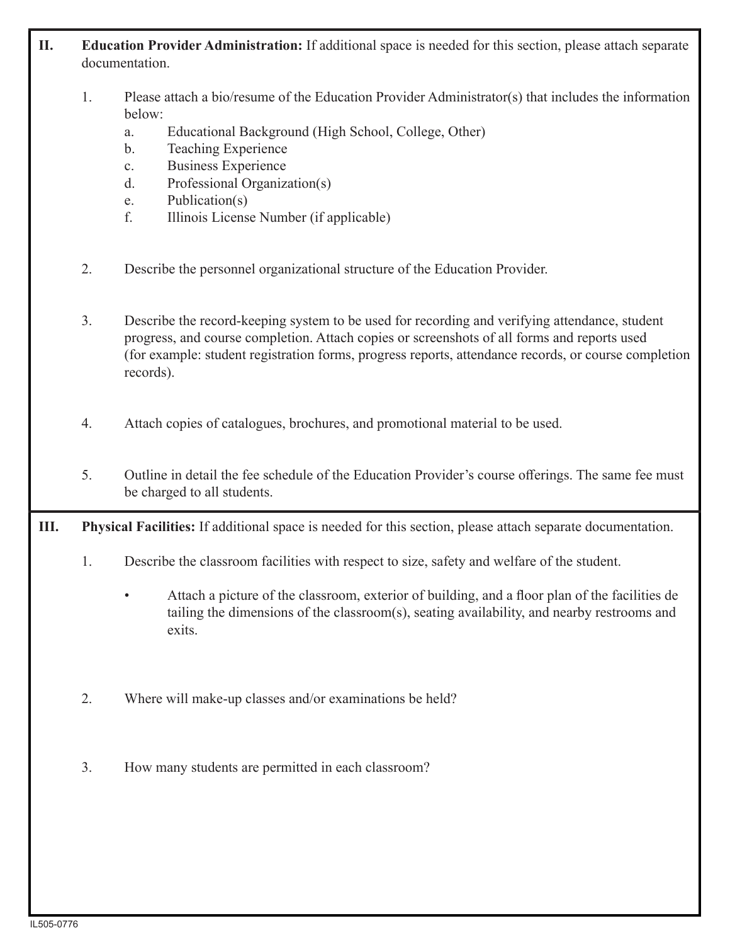### **II. Education Provider Administration:** If additional space is needed for this section, please attach separate documentation.

- 1. Please attach a bio/resume of the Education Provider Administrator(s) that includes the information below:
	- a. Educational Background (High School, College, Other)
	- b. Teaching Experience
	- c. Business Experience
	- d. Professional Organization(s)
	- e. Publication(s)
	- f. Illinois License Number (if applicable)
- 2. Describe the personnel organizational structure of the Education Provider.
- 3. Describe the record-keeping system to be used for recording and verifying attendance, student progress, and course completion. Attach copies or screenshots of all forms and reports used (for example: student registration forms, progress reports, attendance records, or course completion records).
- 4. Attach copies of catalogues, brochures, and promotional material to be used.
- 5. Outline in detail the fee schedule of the Education Provider's course offerings. The same fee must be charged to all students.
- **III. Physical Facilities:** If additional space is needed for this section, please attach separate documentation.
	- 1. Describe the classroom facilities with respect to size, safety and welfare of the student.
		- Attach a picture of the classroom, exterior of building, and a floor plan of the facilities de tailing the dimensions of the classroom(s), seating availability, and nearby restrooms and exits.
	- 2. Where will make-up classes and/or examinations be held?
	- 3. How many students are permitted in each classroom?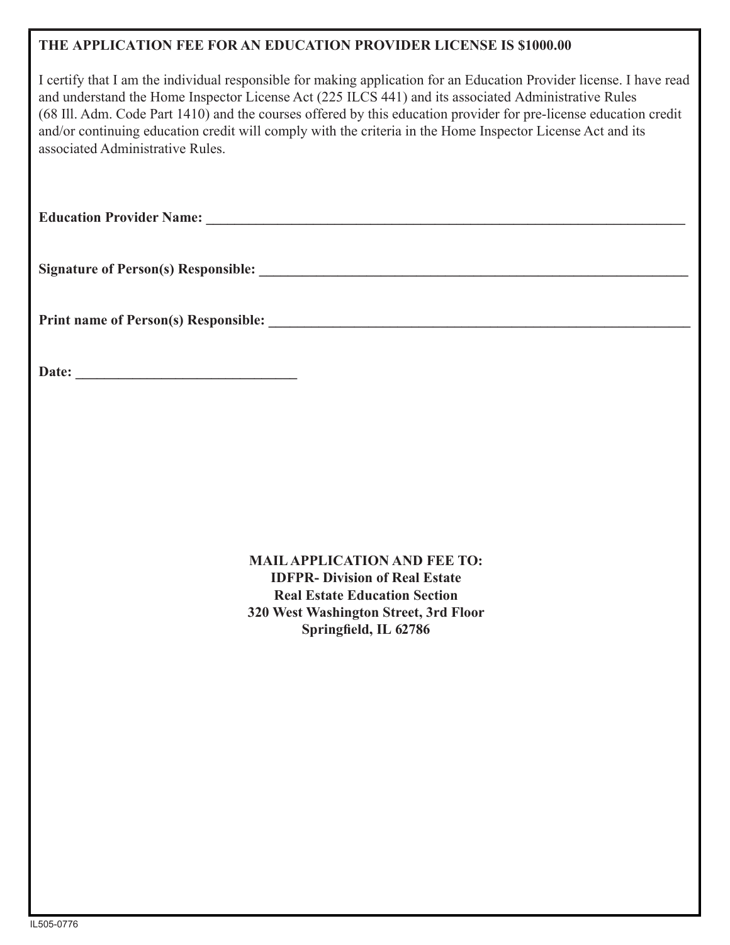### **THE APPLICATION FEE FOR AN EDUCATION PROVIDER LICENSE IS \$1000.00**

I certify that I am the individual responsible for making application for an Education Provider license. I have read and understand the Home Inspector License Act (225 ILCS 441) and its associated Administrative Rules (68 Ill. Adm. Code Part 1410) and the courses offered by this education provider for pre-license education credit and/or continuing education credit will comply with the criteria in the Home Inspector License Act and its associated Administrative Rules.

**Education Provider Name: \_\_\_\_\_\_\_\_\_\_\_\_\_\_\_\_\_\_\_\_\_\_\_\_\_\_\_\_\_\_\_\_\_\_\_\_\_\_\_\_\_\_\_\_\_\_\_\_\_\_\_\_\_\_\_\_\_\_\_\_\_\_\_\_\_\_\_**

**Signature of Person(s) Responsible: \_\_\_\_\_\_\_\_\_\_\_\_\_\_\_\_\_\_\_\_\_\_\_\_\_\_\_\_\_\_\_\_\_\_\_\_\_\_\_\_\_\_\_\_\_\_\_\_\_\_\_\_\_\_\_\_\_\_\_\_**

**Print name of Person(s) Responsible: \_\_\_\_\_\_\_\_\_\_\_\_\_\_\_\_\_\_\_\_\_\_\_\_\_\_\_\_\_\_\_\_\_\_\_\_\_\_\_\_\_\_\_\_\_\_\_\_\_\_\_\_\_\_\_\_\_\_\_**

**Date: \_\_\_\_\_\_\_\_\_\_\_\_\_\_\_\_\_\_\_\_\_\_\_\_\_\_\_\_\_\_\_**

**MAIL APPLICATION AND FEE TO: IDFPR- Division of Real Estate Real Estate Education Section 320 West Washington Street, 3rd Floor Springfield, IL 62786**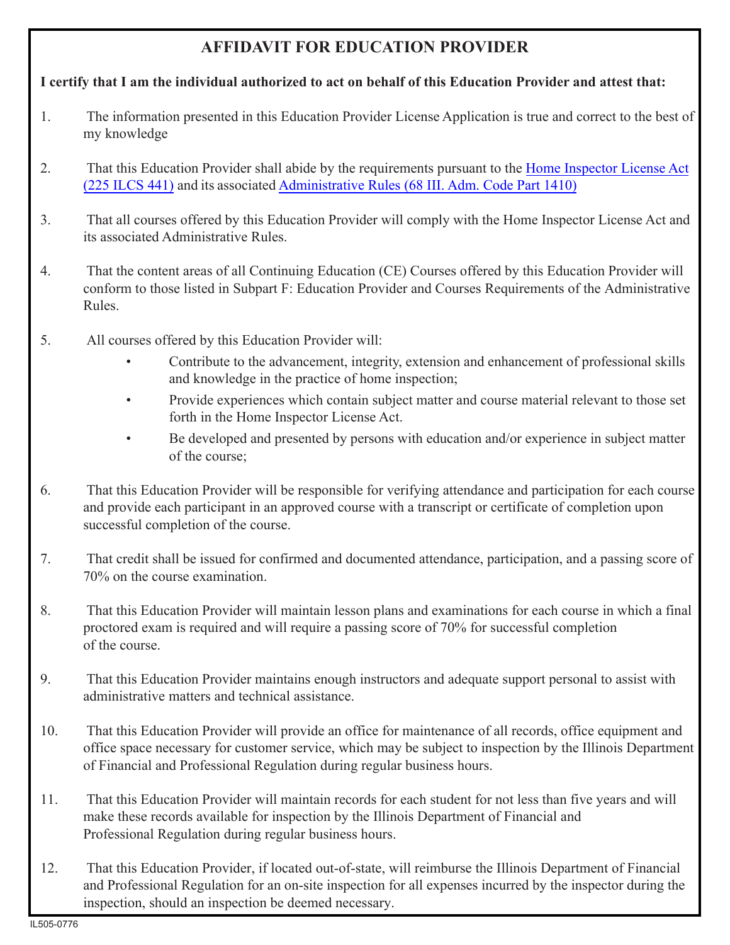## **AFFIDAVIT FOR EDUCATION PROVIDER**

### **I certify that I am the individual authorized to act on behalf of this Education Provider and attest that:**

- 1. The information presented in this Education Provider License Application is true and correct to the best of my knowledge
- 2. [That this Education Provider shall abide by the requirements pursuant to the Home Inspector License Act](http://www.ilga.gov/legislation/ilcs/ilcs3.asp?ActID=1359&ChapAct=225%26nbsp%3BILCS%26nbsp%3B441%2F&ChapterID=24&ChapterName=PROFESSIONS+AND+OCCUPATIONS&ActName=Home+Inspector+License+Act%2E) (225 ILCS 441) and its associated Administrative Rules [\(68 III. Adm. Code Part 1410\)](http://www.ilga.gov/commission/jcar/admincode/068/06801410sections.html)
- 3. That all courses offered by this Education Provider will comply with the Home Inspector License Act and its associated Administrative Rules.
- 4. That the content areas of all Continuing Education (CE) Courses offered by this Education Provider will conform to those listed in Subpart F: Education Provider and Courses Requirements of the Administrative Rules.
- 5. All courses offered by this Education Provider will:
	- Contribute to the advancement, integrity, extension and enhancement of professional skills and knowledge in the practice of home inspection;
	- Provide experiences which contain subject matter and course material relevant to those set forth in the Home Inspector License Act.
	- Be developed and presented by persons with education and/or experience in subject matter of the course;
- 6. That this Education Provider will be responsible for verifying attendance and participation for each course and provide each participant in an approved course with a transcript or certificate of completion upon successful completion of the course.
- 7. That credit shall be issued for confirmed and documented attendance, participation, and a passing score of 70% on the course examination.
- 8. That this Education Provider will maintain lesson plans and examinations for each course in which a final proctored exam is required and will require a passing score of 70% for successful completion of the course.
- 9. That this Education Provider maintains enough instructors and adequate support personal to assist with administrative matters and technical assistance.
- 10. That this Education Provider will provide an office for maintenance of all records, office equipment and office space necessary for customer service, which may be subject to inspection by the Illinois Department of Financial and Professional Regulation during regular business hours.
- 11. That this Education Provider will maintain records for each student for not less than five years and will make these records available for inspection by the Illinois Department of Financial and Professional Regulation during regular business hours.
- 12. That this Education Provider, if located out-of-state, will reimburse the Illinois Department of Financial and Professional Regulation for an on-site inspection for all expenses incurred by the inspector during the inspection, should an inspection be deemed necessary.